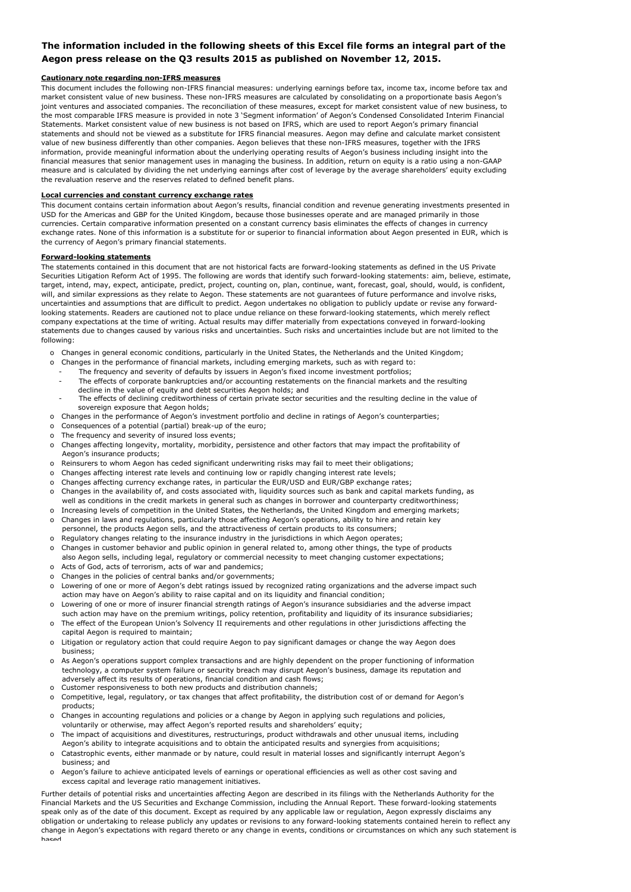### **The information included in the following sheets of this Excel file forms an integral part of the Aegon press release on the Q3 results 2015 as published on November 12, 2015.**

#### **Cautionary note regarding non-IFRS measures**

This document includes the following non-IFRS financial measures: underlying earnings before tax, income tax, income before tax and market consistent value of new business. These non-IFRS measures are calculated by consolidating on a proportionate basis Aegon's joint ventures and associated companies. The reconciliation of these measures, except for market consistent value of new business, to the most comparable IFRS measure is provided in note 3 'Segment information' of Aegon's Condensed Consolidated Interim Financial Statements. Market consistent value of new business is not based on IFRS, which are used to report Aegon's primary financial statements and should not be viewed as a substitute for IFRS financial measures. Aegon may define and calculate market consistent value of new business differently than other companies. Aegon believes that these non-IFRS measures, together with the IFRS information, provide meaningful information about the underlying operating results of Aegon's business including insight into the financial measures that senior management uses in managing the business. In addition, return on equity is a ratio using a non-GAAP measure and is calculated by dividing the net underlying earnings after cost of leverage by the average shareholders' equity excluding the revaluation reserve and the reserves related to defined benefit plans.

#### **Local currencies and constant currency exchange rates**

This document contains certain information about Aegon's results, financial condition and revenue generating investments presented in USD for the Americas and GBP for the United Kingdom, because those businesses operate and are managed primarily in those currencies. Certain comparative information presented on a constant currency basis eliminates the effects of changes in currency exchange rates. None of this information is a substitute for or superior to financial information about Aegon presented in EUR, which is the currency of Aegon's primary financial statements.

#### **Forward-looking statements**

The statements contained in this document that are not historical facts are forward-looking statements as defined in the US Private Securities Litigation Reform Act of 1995. The following are words that identify such forward-looking statements: aim, believe, estimate, target, intend, may, expect, anticipate, predict, project, counting on, plan, continue, want, forecast, goal, should, would, is confident, will, and similar expressions as they relate to Aegon. These statements are not guarantees of future performance and involve risks, uncertainties and assumptions that are difficult to predict. Aegon undertakes no obligation to publicly update or revise any forwardlooking statements. Readers are cautioned not to place undue reliance on these forward-looking statements, which merely reflect company expectations at the time of writing. Actual results may differ materially from expectations conveyed in forward-looking statements due to changes caused by various risks and uncertainties. Such risks and uncertainties include but are not limited to the following:

- o Changes in general economic conditions, particularly in the United States, the Netherlands and the United Kingdom;
- o Changes in the performance of financial markets, including emerging markets, such as with regard to:
	- The frequency and severity of defaults by issuers in Aegon's fixed income investment portfolios;
	- The effects of corporate bankruptcies and/or accounting restatements on the financial markets and the resulting decline in the value of equity and debt securities Aegon holds; and
	- The effects of declining creditworthiness of certain private sector securities and the resulting decline in the value of sovereign exposure that Aegon holds;
- o Changes in the performance of Aegon's investment portfolio and decline in ratings of Aegon's counterparties;
- o Consequences of a potential (partial) break-up of the euro;
- o The frequency and severity of insured loss events;
- o Changes affecting longevity, mortality, morbidity, persistence and other factors that may impact the profitability of Aegon's insurance products;
- o Reinsurers to whom Aegon has ceded significant underwriting risks may fail to meet their obligations;
- o Changes affecting interest rate levels and continuing low or rapidly changing interest rate levels;
- o Changes affecting currency exchange rates, in particular the EUR/USD and EUR/GBP exchange rates;
- o Changes in the availability of, and costs associated with, liquidity sources such as bank and capital markets funding, as well as conditions in the credit markets in general such as changes in borrower and counterparty creditworthiness;
- o Increasing levels of competition in the United States, the Netherlands, the United Kingdom and emerging markets; Changes in laws and regulations, particularly those affecting Aegon's operations, ability to hire and retain key
- o Regulatory changes relating to the insurance industry in the jurisdictions in which Aegon operates; personnel, the products Aegon sells, and the attractiveness of certain products to its consumers;
- o Changes in customer behavior and public opinion in general related to, among other things, the type of products
- also Aegon sells, including legal, regulatory or commercial necessity to meet changing customer expectations;
- o Acts of God, acts of terrorism, acts of war and pandemics; o Changes in the policies of central banks and/or governments;
- o Lowering of one or more of Aegon's debt ratings issued by recognized rating organizations and the adverse impact such action may have on Aegon's ability to raise capital and on its liquidity and financial condition;
- o Lowering of one or more of insurer financial strength ratings of Aegon's insurance subsidiaries and the adverse impact such action may have on the premium writings, policy retention, profitability and liquidity of its insurance subsidiaries;
- o The effect of the European Union's Solvency II requirements and other regulations in other jurisdictions affecting the capital Aegon is required to maintain;
- o Litigation or regulatory action that could require Aegon to pay significant damages or change the way Aegon does business;
- o As Aegon's operations support complex transactions and are highly dependent on the proper functioning of information technology, a computer system failure or security breach may disrupt Aegon's business, damage its reputation and adversely affect its results of operations, financial condition and cash flows;
- o Customer responsiveness to both new products and distribution channels;
- o Competitive, legal, regulatory, or tax changes that affect profitability, the distribution cost of or demand for Aegon's products;
- o Changes in accounting regulations and policies or a change by Aegon in applying such regulations and policies, voluntarily or otherwise, may affect Aegon's reported results and shareholders' equity;
- o The impact of acquisitions and divestitures, restructurings, product withdrawals and other unusual items, including
- o Catastrophic events, either manmade or by nature, could result in material losses and significantly interrupt Aegon's business; and Aegon's ability to integrate acquisitions and to obtain the anticipated results and synergies from acquisitions;
- o Aegon's failure to achieve anticipated levels of earnings or operational efficiencies as well as other cost saving and excess capital and leverage ratio management initiatives.

Further details of potential risks and uncertainties affecting Aegon are described in its filings with the Netherlands Authority for the Financial Markets and the US Securities and Exchange Commission, including the Annual Report. These forward-looking statements speak only as of the date of this document. Except as required by any applicable law or regulation, Aegon expressly disclaims any obligation or undertaking to release publicly any updates or revisions to any forward-looking statements contained herein to reflect any change in Aegon's expectations with regard thereto or any change in events, conditions or circumstances on which any such statement is based.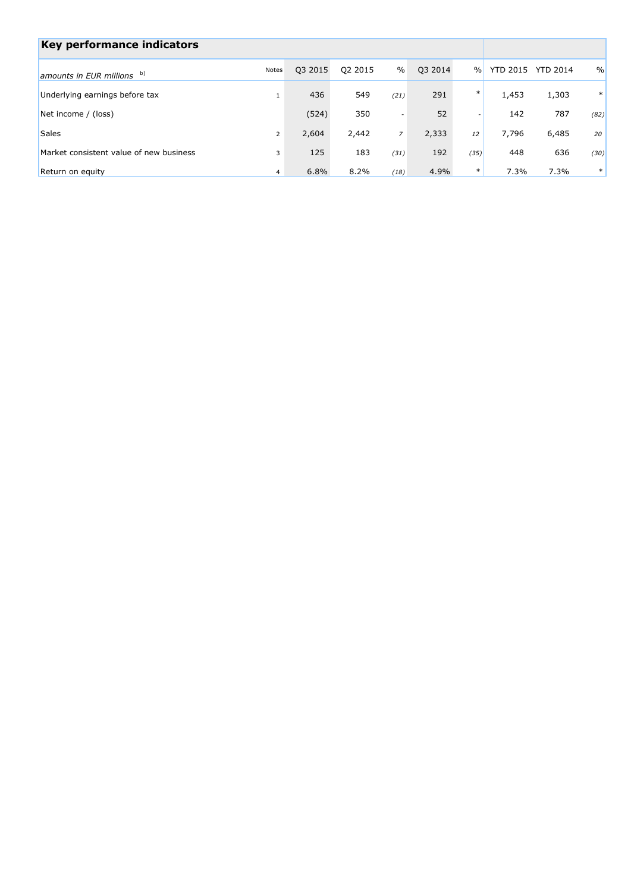| Key performance indicators              |                |         |         |                          |         |               |          |                 |               |
|-----------------------------------------|----------------|---------|---------|--------------------------|---------|---------------|----------|-----------------|---------------|
| amounts in EUR millions b)              | Notes          | Q3 2015 | Q2 2015 | $\frac{0}{0}$            | Q3 2014 | $\frac{0}{0}$ | YTD 2015 | <b>YTD 2014</b> | $\frac{0}{0}$ |
| Underlying earnings before tax          |                | 436     | 549     | (21)                     | 291     | $\ast$        | 1,453    | 1,303           | $\ast$        |
| Net income / (loss)                     |                | (524)   | 350     | $\overline{\phantom{a}}$ | 52      | -             | 142      | 787             | (82)          |
| <b>Sales</b>                            | $\overline{2}$ | 2,604   | 2,442   | $\overline{z}$           | 2,333   | 12            | 7,796    | 6,485           | 20            |
| Market consistent value of new business | 3              | 125     | 183     | (31)                     | 192     | (35)          | 448      | 636             | (30)          |
| Return on equity                        | $\overline{4}$ | 6.8%    | 8.2%    | (18)                     | 4.9%    | $\ast$        | 7.3%     | 7.3%            | $\ast$        |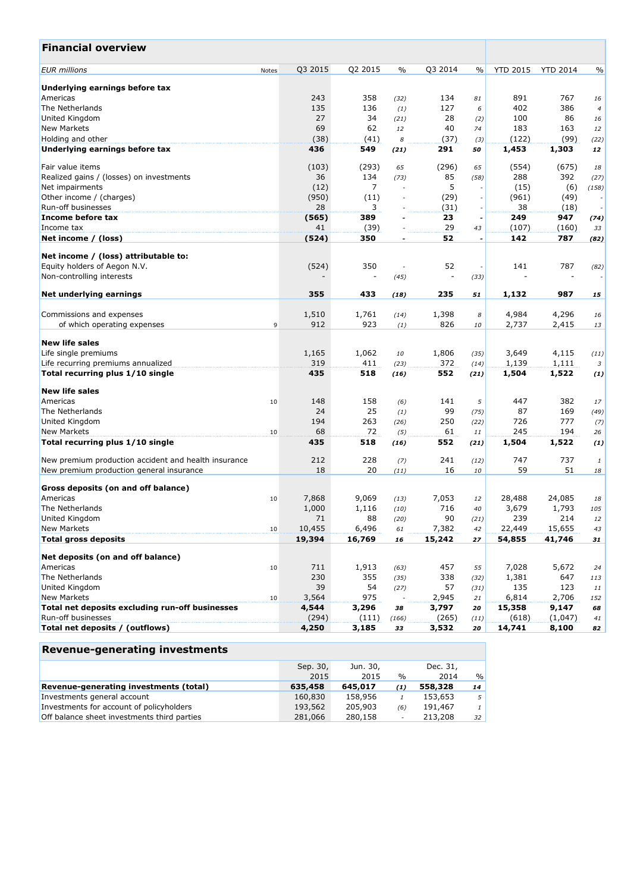| <b>Financial overview</b>                            |       |         |                |                          |                |      |                  |                 |                |
|------------------------------------------------------|-------|---------|----------------|--------------------------|----------------|------|------------------|-----------------|----------------|
| <b>EUR</b> millions                                  | Notes | Q3 2015 | Q2 2015        | $\%$                     | Q3 2014        | $\%$ | <b>YTD 2015</b>  | <b>YTD 2014</b> | $\%$           |
| Underlying earnings before tax                       |       |         |                |                          |                |      |                  |                 |                |
| Americas                                             |       | 243     | 358            | (32)                     | 134            | 81   | 891              | 767             | 16             |
| The Netherlands                                      |       | 135     | 136            | (1)                      | 127            | 6    | 402              | 386             | $\overline{4}$ |
| United Kingdom                                       |       | 27      | 34             | (21)                     | 28             | (2)  | 100              | 86              | 16             |
| <b>New Markets</b>                                   |       | 69      | 62             | 12                       | 40             | 74   | 183              | 163             | 12             |
| Holding and other                                    |       | (38)    | (41)           | 8                        | (37)           | (3)  | (122)            | (99)            | (22)           |
| Underlying earnings before tax                       |       | 436     | 549            | (21)                     | 291            | 50   | 1,453            | 1,303           | 12             |
| Fair value items                                     |       | (103)   | (293)          | 65                       | (296)          | 65   | (554)            | (675)           | 18             |
| Realized gains / (losses) on investments             |       | 36      | 134            | (73)                     | 85             | (58) | 288              | 392             | (27)           |
| Net impairments                                      |       | (12)    | $\overline{7}$ |                          | 5              |      | (15)             | (6)             | (158)          |
| Other income / (charges)                             |       | (950)   | (11)           | $\overline{a}$           | (29)           |      | (961)            | (49)            |                |
| Run-off businesses                                   |       | 28      | 3              |                          | (31)           |      | 38               | (18)            |                |
| Income before tax                                    |       | (565)   | 389            | $\overline{\phantom{a}}$ | 23             |      | 249              | 947             | (74)           |
| Income tax                                           |       | 41      | (39)           |                          | 29             | 43   | (107)            | (160)           | 33             |
| Net income / (loss)                                  |       | (524)   | 350            | $\overline{\phantom{a}}$ | 52             | ÷,   | 142              | 787             | (82)           |
| Net income / (loss) attributable to:                 |       |         |                |                          |                |      |                  |                 |                |
| Equity holders of Aegon N.V.                         |       | (524)   | 350            |                          | 52             |      | 141              | 787             | (82)           |
| Non-controlling interests                            |       |         |                | (45)                     | $\overline{a}$ | (33) |                  |                 |                |
|                                                      |       |         |                |                          |                |      |                  |                 |                |
| Net underlying earnings                              |       | 355     | 433            | (18)                     | 235            | 51   | 1,132            | 987             | 15             |
| Commissions and expenses                             |       | 1,510   | 1,761          | (14)                     | 1,398          | 8    | 4,984            | 4,296           | 16             |
| of which operating expenses                          | 9     | 912     | 923            | (1)                      | 826            | 10   | 2,737            | 2,415           | 13             |
| <b>New life sales</b>                                |       |         |                |                          |                |      |                  |                 |                |
| Life single premiums                                 |       | 1,165   | 1,062          | 10                       | 1,806          | (35) | 3,649            | 4,115           | (11)           |
| Life recurring premiums annualized                   |       | 319     | 411            | (23)                     | 372            | (14) | 1,139            | 1,111           | 3              |
| Total recurring plus 1/10 single                     |       | 435     | 518            | (16)                     | 552            | (21) | 1,504            | 1,522           | (1)            |
| <b>New life sales</b>                                |       |         |                |                          |                |      |                  |                 |                |
| Americas                                             | 10    | 148     | 158            | (6)                      | 141            | 5    | 447              | 382             | 17             |
| The Netherlands                                      |       | 24      | 25             | (1)                      | 99             | (75) | 87               | 169             | (49)           |
| United Kingdom                                       |       | 194     | 263            | (26)                     | 250            | (22) | 726              | 777             | (7)            |
| <b>New Markets</b>                                   | 10    | 68      | 72             | (5)                      | 61             | 11   | 245              | 194             | 26             |
| Total recurring plus 1/10 single                     |       | 435     | 518            | (16)                     | 552            | (21) | 1,504            | 1,522           | (1)            |
| New premium production accident and health insurance |       | 212     | 228            | (7)                      | 241            | (12) | 747              | 737             | $\mathbf{1}$   |
| New premium production general insurance             |       | 18      | 20             | (11)                     | 16             | 10   | 59               | 51              | 18             |
|                                                      |       |         |                |                          |                |      |                  |                 |                |
| Gross deposits (on and off balance)                  |       |         |                |                          |                |      |                  |                 |                |
| Americas                                             | 10    | 7,868   | 9,069          | (13)                     | 7,053          | 12   | 28,488           | 24,085          | 18             |
| The Netherlands                                      |       | 1,000   | 1,116          | (10)                     | 716            | 40   | 3,679            | 1,793           | 105            |
| United Kingdom                                       |       | 71      | 88             | (20)                     | 90             | (21) | 239              | 214             | 12             |
| <b>New Markets</b>                                   | 10    | 10,455  | 6,496          | 61                       | 7,382          | 42   | 22,449<br>54,855 | 15,655          | 43             |
| <b>Total gross deposits</b>                          |       | 19,394  | 16,769         | 16                       | 15,242         | 27   |                  | 41,746          | 31             |
| Net deposits (on and off balance)                    |       |         |                |                          |                |      |                  |                 |                |
| Americas                                             | 10    | 711     | 1,913          | (63)                     | 457            | 55   | 7,028            | 5,672           | 24             |
| The Netherlands                                      |       | 230     | 355            | (35)                     | 338            | (32) | 1,381            | 647             | 113            |
| United Kingdom                                       |       | 39      | 54             | (27)                     | 57             | (31) | 135              | 123             | 11             |
| <b>New Markets</b>                                   | 10    | 3,564   | 975            |                          | 2,945          | 21   | 6,814            | 2,706           | 152            |
| Total net deposits excluding run-off businesses      |       | 4,544   | 3,296          | 38                       | 3,797          | 20   | 15,358           | 9,147           | 68             |
| Run-off businesses                                   |       | (294)   | (111)          | (166)                    | (265)          | (11) | (618)            | (1,047)         | 41             |
| Total net deposits / (outflows)                      |       | 4,250   | 3,185          | 33                       | 3,532          | 20   | 14,741           | 8,100           | 82             |

| <b>Revenue-generating investments</b>       |          |          |               |          |               |
|---------------------------------------------|----------|----------|---------------|----------|---------------|
|                                             | Sep. 30, | Jun. 30, |               | Dec. 31, |               |
|                                             | 2015     | 2015     | $\frac{0}{0}$ | 2014     | $\frac{0}{0}$ |
| Revenue-generating investments (total)      | 635,458  | 645,017  | (1)           | 558,328  | 14            |
| Investments general account                 | 160,830  | 158,956  |               | 153,653  | 5             |
| Investments for account of policyholders    | 193,562  | 205,903  | (6)           | 191,467  | $\mathbf{1}$  |
| Off balance sheet investments third parties | 281,066  | 280,158  | $\sim$        | 213,208  | 32            |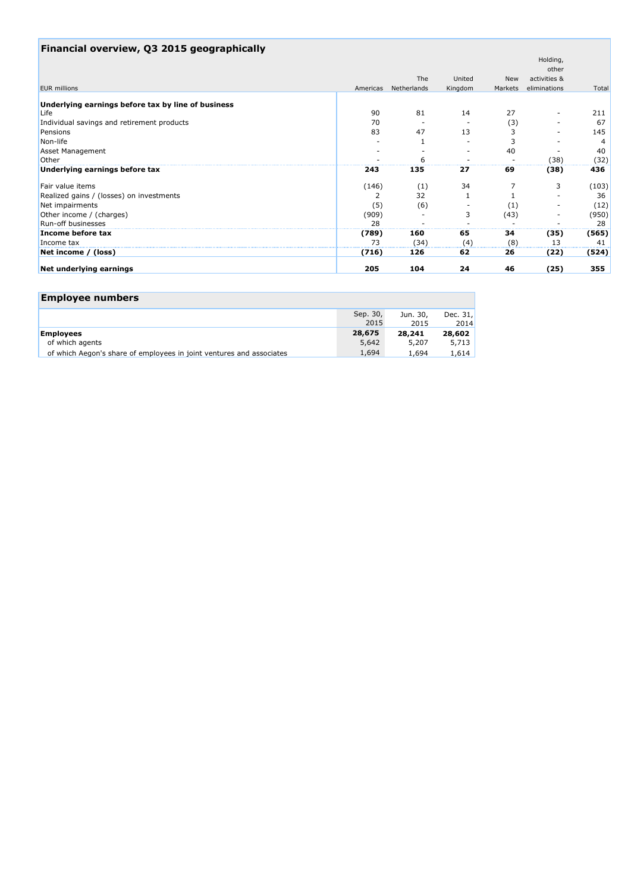| Financial overview, Q3 2015 geographically         |       |                      |         |            |              |       |
|----------------------------------------------------|-------|----------------------|---------|------------|--------------|-------|
|                                                    |       |                      |         |            | Holding,     |       |
|                                                    |       |                      |         |            | other        |       |
|                                                    |       | The                  | United  | <b>New</b> | activities & |       |
| <b>EUR</b> millions                                |       | Americas Netherlands | Kingdom | Markets    | eliminations | Total |
| Underlying earnings before tax by line of business |       |                      |         |            |              |       |
| Life                                               | 90    | 81                   | 14      | 27         |              | 211   |
| Individual savings and retirement products         | 70    |                      |         | (3)        |              | 67    |
| Pensions                                           | 83    | 47                   | 13      |            |              | 145   |
| Non-life                                           |       |                      |         |            |              | 4     |
| <b>Asset Management</b>                            |       |                      |         | 40         |              | 40    |
| Other                                              |       |                      |         |            | (38)         | (32)  |
| Underlying earnings before tax                     | 243   | 135                  | 27      | 69         | (38)         | 436   |
| Fair value items                                   | (146) | (1)                  | 34      |            | 3            | (103) |
| Realized gains / (losses) on investments           |       | 32                   |         |            |              | 36    |
| Net impairments                                    | (5)   | (6)                  |         | (1)        |              | (12)  |
| Other income / (charges)                           | (909) |                      | 3       | (43)       |              | (950) |
| Run-off businesses                                 | 28    |                      |         |            |              | 28    |
| Income before tax                                  | (789) | 160                  | 65      | 34         | (35)         | (565) |
| Income tax                                         | 73    | (34)                 | (4)     | (8)        | 13           | 41    |
| Net income / (loss)                                | (716) | 126                  | 62      | 26         | (22)         | (524) |
| Net underlying earnings                            | 205   | 104                  | 24      | 46         | (25)         | 355   |

| <b>Employee numbers</b>                                              |                  |                  |                    |
|----------------------------------------------------------------------|------------------|------------------|--------------------|
|                                                                      | Sep. 30,<br>2015 | Jun. 30,<br>2015 | Dec. $31.$<br>2014 |
| <b>Employees</b>                                                     | 28,675           | 28,241           | 28,602             |
| of which agents                                                      | 5,642            | 5,207            | 5.713              |
| of which Aegon's share of employees in joint ventures and associates | 1,694            | 1,694            | 1,614              |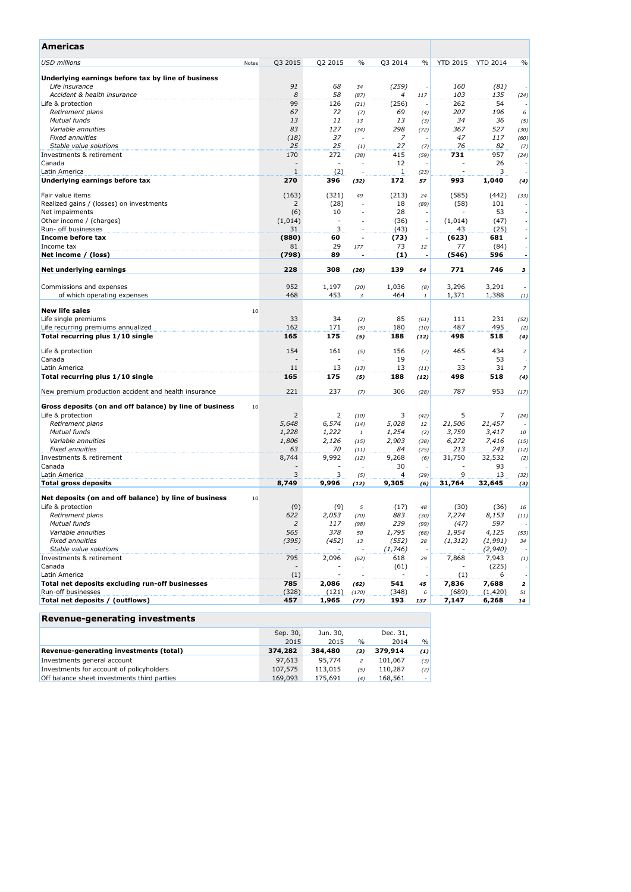| Americas                                                      |                          |                |               |                          |      |                 |                 |                          |
|---------------------------------------------------------------|--------------------------|----------------|---------------|--------------------------|------|-----------------|-----------------|--------------------------|
| USD millions<br>Notes                                         | Q3 2015                  | Q2 2015        | $\frac{0}{0}$ | Q3 2014                  | $\%$ | <b>YTD 2015</b> | <b>YTD 2014</b> | $\frac{0}{0}$            |
| Underlying earnings before tax by line of business            |                          |                |               |                          |      |                 |                 |                          |
| Life insurance                                                | 91                       | 68             | 34            | (259)                    |      | 160             | (81)            |                          |
| Accident & health insurance                                   | 8                        | 58             | (87)          | 4                        | 117  | 103             | 135             | (24)                     |
| Life & protection                                             | 99                       | 126            | (21)          | (256)                    |      | 262             | 54              |                          |
| Retirement plans                                              | 67                       | 72             | (7)           | 69                       | (4)  | 207             | 196             | 6                        |
| Mutual funds                                                  | 13                       | 11             | 13            | 13                       | (3)  | 34              | 36              | (5)                      |
| Variable annuities                                            | 83                       | 127            | (34)          | 298                      | (72) | 367             | 527             | (30)                     |
| <b>Fixed annuities</b>                                        | (18)                     | 37             |               | 7                        |      | 47              | 117             | (60)                     |
| Stable value solutions                                        | 25                       | 25             | (1)           | 27                       | (7)  | 76              | 82              | (7)                      |
| Investments & retirement                                      | 170                      | 272            | (38)          | 415                      | (59) | 731             | 957             | (24)                     |
| Canada                                                        |                          |                |               | 12                       |      |                 | 26              |                          |
| Latin America                                                 | $1\,$                    | (2)            |               | 1                        | (23) |                 | 3               |                          |
| Underlying earnings before tax                                | 270                      | 396            | (32)          | 172                      | 57   | 993             | 1,040           | (4)                      |
| Fair value items                                              | (163)                    | (321)          | 49            | (213)                    | 24   | (585)           | (442)           | (33)                     |
| Realized gains / (losses) on investments                      | 2                        | (28)           |               | 18                       | (89) | (58)            | 101             |                          |
| Net impairments                                               | (6)                      | 10             |               | 28                       |      |                 | 53              |                          |
| Other income / (charges)                                      | (1,014)                  | $\overline{a}$ |               | (36)                     |      | (1,014)         | (47)            |                          |
| Run- off businesses                                           | 31                       | 3              |               | (43)                     |      | 43              | (25)            |                          |
| Income before tax                                             | (880)                    | 60             |               | (73)                     |      | (623)           | 681             |                          |
| Income tax                                                    | 81                       | 29             | 177           | 73                       | 12   | 77              | (84)            | $\overline{\phantom{a}}$ |
| Net income / (loss)                                           | (798)                    | 89             |               | $\left(1\right)$         |      | (546)           | 596             |                          |
| Net underlying earnings                                       | 228                      | 308            | (26)          | 139                      | 64   | 771             | 746             | з                        |
|                                                               |                          |                |               |                          |      |                 |                 |                          |
| Commissions and expenses                                      | 952                      | 1,197          | (20)          | 1,036                    | (8)  | 3,296           | 3,291           |                          |
| of which operating expenses                                   | 468                      | 453            | 3             | 464                      | 1    | 1,371           | 1,388           | $_{(1)}$                 |
| <b>New life sales</b>                                         |                          |                |               |                          |      |                 |                 |                          |
| 10<br>Life single premiums                                    | 33                       | 34             |               | 85                       | (61) | 111             | 231             | (52)                     |
| Life recurring premiums annualized                            | 162                      | 171            | (2)<br>(5)    | 180                      | (10) | 487             | 495             | (2)                      |
| Total recurring plus 1/10 single                              | 165                      | 175            | (5)           | 188                      | (12) | 498             | 518             | (4)                      |
|                                                               |                          |                |               |                          |      |                 |                 |                          |
| Life & protection                                             | 154                      | 161            | (5)           | 156                      | (2)  | 465             | 434             | $\overline{z}$           |
| Canada                                                        |                          |                | ٠             | 19                       |      |                 | 53              |                          |
| Latin America                                                 | 11                       | 13             | (13)          | 13                       | (11) | 33              | 31              | 7                        |
| Total recurring plus 1/10 single                              | 165                      | 175            | (5)           | 188                      | (12) | 498             | 518             | (4)                      |
| New premium production accident and health insurance          | 221                      | 237            | (7)           | 306                      | (28) | 787             | 953             | (17)                     |
| Gross deposits (on and off balance) by line of business<br>10 |                          |                |               |                          |      |                 |                 |                          |
| Life & protection                                             | 2                        | 2              | (10)          | 3                        | (42) | 5               | 7               | (24)                     |
| Retirement plans                                              | 5,648                    | 6,574          | (14)          | 5,028                    | 12   | 21,506          | 21,457          |                          |
| Mutual funds                                                  | 1,228                    | 1,222          | 1             | 1,254                    | (2)  | 3,759           | 3,417           | 10                       |
| Variable annuities                                            | 1,806                    | 2,126          | (15)          | 2,903                    | (38) | 6,272           | 7,416           | (15)                     |
| <b>Fixed annuities</b>                                        | 63                       | 70             | (11)          | 84                       | (25) | 213             | 243             | (12)                     |
| Investments & retirement                                      | 8,744                    | 9,992          | (12)          | 9,268                    | (6)  | 31,750          | 32,532          | (2)                      |
| Canada                                                        |                          |                | ٠             | 30                       |      |                 | 93              |                          |
| Latin America                                                 | 3                        | 3              | (5)           | 4                        | (29) | 9               | 13              | (32)                     |
| <b>Total gross deposits</b>                                   | 8,749                    | 9,996          | (12)          | 9,305                    | (6)  | 31,764          | 32,645          | (3)                      |
| Net deposits (on and off balance) by line of business<br>10   |                          |                |               |                          |      |                 |                 |                          |
| Life & protection                                             | (9)                      | (9)            | 5             | (17)                     | 48   | (30)            | (36)            | 16                       |
| Retirement plans                                              | 622                      | 2,053          | (70)          | 883                      | (30) | 7,274           | 8,153           | (11)                     |
| Mutual funds                                                  | 2                        | 117            | (98)          | 239                      | (99) | (47)            | 597             |                          |
| Variable annuities                                            | 565                      | 378            | 50            | 1,795                    | (68) | 1,954           | 4,125           | (53)                     |
| <b>Fixed annuities</b>                                        | (395)                    | (452)          | 13            | (552)                    | 28   | (1, 312)        | (1, 991)        | 34                       |
| Stable value solutions                                        |                          |                |               | (1, 746)                 |      |                 | (2,940)         |                          |
| Investments & retirement                                      | 795                      | 2,096          | (62)          | 618                      | 29   | 7,868           | 7,943           | (1)                      |
| Canada                                                        | $\overline{\phantom{a}}$ |                |               | (61)                     |      |                 | (225)           |                          |
| Latin America                                                 | (1)                      |                |               | $\overline{\phantom{a}}$ |      | (1)             | 6               |                          |
| Total net deposits excluding run-off businesses               | 785                      | 2,086          | (62)          | 541                      | 45   | 7,836           | 7,688           | $\overline{\mathbf{z}}$  |
| Run-off businesses                                            | (328)                    | (121)          | (170)         | (348)                    | 6    | (689)           | (1,420)         | 51                       |
| Total net deposits / (outflows)                               | 457                      | 1,965          | (77)          | 193                      | 137  | 7,147           | 6,268           | 14                       |

## **Revenue-generating investments**

|                                             | Sep. 30, | Jun. 30, |      | Dec. 31, |               |
|---------------------------------------------|----------|----------|------|----------|---------------|
|                                             | 2015     | 2015     | $\%$ | 2014     | $\frac{0}{0}$ |
| Revenue-generating investments (total)      | 374,282  | 384,480  | (3)  | 379,914  | (1)           |
| Investments general account                 | 97.613   | 95,774   | 2    | 101.067  | (3)           |
| Investments for account of policyholders    | 107,575  | 113,015  | (5)  | 110,287  | (2)           |
| Off balance sheet investments third parties | 169,093  | 175,691  | (4)  | 168.561  | - 1           |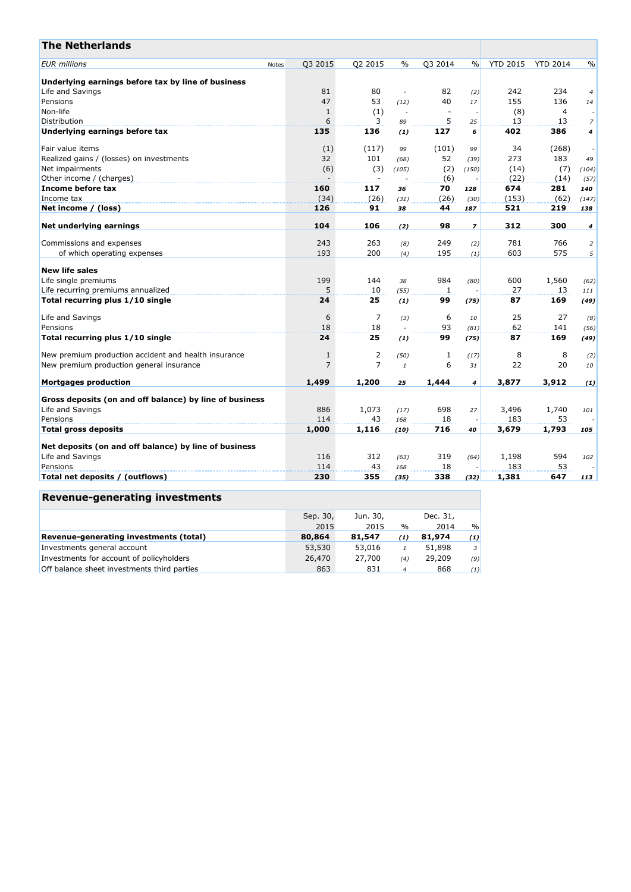| Q3 2014<br><b>YTD 2015</b><br>Q3 2015<br>Q2 2015<br>$\%$<br>$\%$<br><b>YTD 2014</b><br>$\frac{0}{0}$<br>Notes<br>Underlying earnings before tax by line of business<br>80<br>82<br>242<br>234<br>81<br>(2)<br>$\overline{4}$<br>$\overline{\phantom{a}}$<br>47<br>53<br>40<br>155<br>136<br>17<br>(12)<br>14<br>(1)<br>(8)<br>$\overline{4}$<br>$\mathbf{1}$<br>$\sim$<br>$\overline{\phantom{a}}$<br>6<br>5<br>3<br>13<br>13<br>$\overline{z}$<br>89<br>25<br>135<br>136<br>127<br>402<br>386<br>6<br>4<br>(1)<br>(1)<br>(117)<br>(101)<br>34<br>(268)<br>99<br>99<br>32<br>52<br>273<br>183<br>101<br>(68)<br>(39)<br>49<br>(6)<br>(2)<br>(7)<br>(3)<br>(105)<br>(14)<br>(150)<br>(104)<br>Other income / (charges)<br>(6)<br>(22)<br>(14)<br>(57)<br>160<br>70<br>281<br>117<br>674<br>36<br>128<br>140<br>(34)<br>(153)<br>Income tax<br>(26)<br>(26)<br>(62)<br>(31)<br>(30)<br>(147)<br>Net income / (loss)<br>126<br>91<br>44<br>521<br>219<br>38<br>187<br>138<br>312<br>104<br>106<br>98<br>300<br>$\overline{z}$<br>(2)<br>4<br>Commissions and expenses<br>243<br>263<br>249<br>781<br>766<br>(2)<br>$\overline{2}$<br>(8)<br>195<br>603<br>575<br>193<br>200<br>of which operating expenses<br>(4)<br>5<br>(1)<br><b>New life sales</b><br>984<br>Life single premiums<br>199<br>144<br>600<br>1,560<br>38<br>(80)<br>(62)<br>5<br>27<br>Life recurring premiums annualized<br>10<br>13<br>(55)<br>1<br>111<br>Total recurring plus 1/10 single<br>24<br>25<br>99<br>87<br>169<br>(1)<br>(75)<br>(49)<br>7<br>6<br>25<br>27<br>6<br>(3)<br>10<br>(8)<br>18<br>93<br>62<br>141<br>18<br>(81)<br>(56)<br>24<br>25<br>99<br>87<br>169<br>(75)<br>(1)<br>(49)<br>$\overline{2}$<br>New premium production accident and health insurance<br>1<br>8<br>8<br>$\mathbf{1}$<br>(50)<br>(17)<br>(2)<br>$\overline{7}$<br>7<br>6<br>22<br>20<br>10<br>$\mathbf{1}$<br>31<br>1,200<br>1,499<br>3,877<br>3,912<br>1,444<br>25<br>$\overline{4}$<br>(1)<br>Gross deposits (on and off balance) by line of business<br>1,073<br>698<br>886<br>3,496<br>1,740<br>27<br>(17)<br>101<br>114<br>43<br>18<br>183<br>53<br>Pensions<br>168<br>1,000<br>716<br>1,793<br>1,116<br>3,679<br>(10)<br>40<br>105<br>Life and Savings<br>319<br>116<br>312<br>1,198<br>594<br>(63)<br>(64)<br>102<br>43<br>18<br>183<br>53<br>114<br>168<br>230<br>355<br>338<br>1,381<br>647<br>(35)<br>(32)<br>113 | <b>The Netherlands</b>                                |  |  |  |  |  |
|--------------------------------------------------------------------------------------------------------------------------------------------------------------------------------------------------------------------------------------------------------------------------------------------------------------------------------------------------------------------------------------------------------------------------------------------------------------------------------------------------------------------------------------------------------------------------------------------------------------------------------------------------------------------------------------------------------------------------------------------------------------------------------------------------------------------------------------------------------------------------------------------------------------------------------------------------------------------------------------------------------------------------------------------------------------------------------------------------------------------------------------------------------------------------------------------------------------------------------------------------------------------------------------------------------------------------------------------------------------------------------------------------------------------------------------------------------------------------------------------------------------------------------------------------------------------------------------------------------------------------------------------------------------------------------------------------------------------------------------------------------------------------------------------------------------------------------------------------------------------------------------------------------------------------------------------------------------------------------------------------------------------------------------------------------------------------------------------------------------------------------------------------------------------------------------------------------------------------------------------------------------------------------------------------------------------------------------------------------------------------------------|-------------------------------------------------------|--|--|--|--|--|
|                                                                                                                                                                                                                                                                                                                                                                                                                                                                                                                                                                                                                                                                                                                                                                                                                                                                                                                                                                                                                                                                                                                                                                                                                                                                                                                                                                                                                                                                                                                                                                                                                                                                                                                                                                                                                                                                                                                                                                                                                                                                                                                                                                                                                                                                                                                                                                                      | <b>EUR</b> millions                                   |  |  |  |  |  |
|                                                                                                                                                                                                                                                                                                                                                                                                                                                                                                                                                                                                                                                                                                                                                                                                                                                                                                                                                                                                                                                                                                                                                                                                                                                                                                                                                                                                                                                                                                                                                                                                                                                                                                                                                                                                                                                                                                                                                                                                                                                                                                                                                                                                                                                                                                                                                                                      |                                                       |  |  |  |  |  |
|                                                                                                                                                                                                                                                                                                                                                                                                                                                                                                                                                                                                                                                                                                                                                                                                                                                                                                                                                                                                                                                                                                                                                                                                                                                                                                                                                                                                                                                                                                                                                                                                                                                                                                                                                                                                                                                                                                                                                                                                                                                                                                                                                                                                                                                                                                                                                                                      | Life and Savings                                      |  |  |  |  |  |
|                                                                                                                                                                                                                                                                                                                                                                                                                                                                                                                                                                                                                                                                                                                                                                                                                                                                                                                                                                                                                                                                                                                                                                                                                                                                                                                                                                                                                                                                                                                                                                                                                                                                                                                                                                                                                                                                                                                                                                                                                                                                                                                                                                                                                                                                                                                                                                                      | Pensions                                              |  |  |  |  |  |
|                                                                                                                                                                                                                                                                                                                                                                                                                                                                                                                                                                                                                                                                                                                                                                                                                                                                                                                                                                                                                                                                                                                                                                                                                                                                                                                                                                                                                                                                                                                                                                                                                                                                                                                                                                                                                                                                                                                                                                                                                                                                                                                                                                                                                                                                                                                                                                                      | Non-life                                              |  |  |  |  |  |
|                                                                                                                                                                                                                                                                                                                                                                                                                                                                                                                                                                                                                                                                                                                                                                                                                                                                                                                                                                                                                                                                                                                                                                                                                                                                                                                                                                                                                                                                                                                                                                                                                                                                                                                                                                                                                                                                                                                                                                                                                                                                                                                                                                                                                                                                                                                                                                                      | Distribution                                          |  |  |  |  |  |
|                                                                                                                                                                                                                                                                                                                                                                                                                                                                                                                                                                                                                                                                                                                                                                                                                                                                                                                                                                                                                                                                                                                                                                                                                                                                                                                                                                                                                                                                                                                                                                                                                                                                                                                                                                                                                                                                                                                                                                                                                                                                                                                                                                                                                                                                                                                                                                                      | Underlying earnings before tax                        |  |  |  |  |  |
|                                                                                                                                                                                                                                                                                                                                                                                                                                                                                                                                                                                                                                                                                                                                                                                                                                                                                                                                                                                                                                                                                                                                                                                                                                                                                                                                                                                                                                                                                                                                                                                                                                                                                                                                                                                                                                                                                                                                                                                                                                                                                                                                                                                                                                                                                                                                                                                      | Fair value items                                      |  |  |  |  |  |
|                                                                                                                                                                                                                                                                                                                                                                                                                                                                                                                                                                                                                                                                                                                                                                                                                                                                                                                                                                                                                                                                                                                                                                                                                                                                                                                                                                                                                                                                                                                                                                                                                                                                                                                                                                                                                                                                                                                                                                                                                                                                                                                                                                                                                                                                                                                                                                                      | Realized gains / (losses) on investments              |  |  |  |  |  |
|                                                                                                                                                                                                                                                                                                                                                                                                                                                                                                                                                                                                                                                                                                                                                                                                                                                                                                                                                                                                                                                                                                                                                                                                                                                                                                                                                                                                                                                                                                                                                                                                                                                                                                                                                                                                                                                                                                                                                                                                                                                                                                                                                                                                                                                                                                                                                                                      | Net impairments                                       |  |  |  |  |  |
|                                                                                                                                                                                                                                                                                                                                                                                                                                                                                                                                                                                                                                                                                                                                                                                                                                                                                                                                                                                                                                                                                                                                                                                                                                                                                                                                                                                                                                                                                                                                                                                                                                                                                                                                                                                                                                                                                                                                                                                                                                                                                                                                                                                                                                                                                                                                                                                      |                                                       |  |  |  |  |  |
|                                                                                                                                                                                                                                                                                                                                                                                                                                                                                                                                                                                                                                                                                                                                                                                                                                                                                                                                                                                                                                                                                                                                                                                                                                                                                                                                                                                                                                                                                                                                                                                                                                                                                                                                                                                                                                                                                                                                                                                                                                                                                                                                                                                                                                                                                                                                                                                      | Income before tax                                     |  |  |  |  |  |
|                                                                                                                                                                                                                                                                                                                                                                                                                                                                                                                                                                                                                                                                                                                                                                                                                                                                                                                                                                                                                                                                                                                                                                                                                                                                                                                                                                                                                                                                                                                                                                                                                                                                                                                                                                                                                                                                                                                                                                                                                                                                                                                                                                                                                                                                                                                                                                                      |                                                       |  |  |  |  |  |
|                                                                                                                                                                                                                                                                                                                                                                                                                                                                                                                                                                                                                                                                                                                                                                                                                                                                                                                                                                                                                                                                                                                                                                                                                                                                                                                                                                                                                                                                                                                                                                                                                                                                                                                                                                                                                                                                                                                                                                                                                                                                                                                                                                                                                                                                                                                                                                                      |                                                       |  |  |  |  |  |
|                                                                                                                                                                                                                                                                                                                                                                                                                                                                                                                                                                                                                                                                                                                                                                                                                                                                                                                                                                                                                                                                                                                                                                                                                                                                                                                                                                                                                                                                                                                                                                                                                                                                                                                                                                                                                                                                                                                                                                                                                                                                                                                                                                                                                                                                                                                                                                                      | Net underlying earnings                               |  |  |  |  |  |
|                                                                                                                                                                                                                                                                                                                                                                                                                                                                                                                                                                                                                                                                                                                                                                                                                                                                                                                                                                                                                                                                                                                                                                                                                                                                                                                                                                                                                                                                                                                                                                                                                                                                                                                                                                                                                                                                                                                                                                                                                                                                                                                                                                                                                                                                                                                                                                                      |                                                       |  |  |  |  |  |
|                                                                                                                                                                                                                                                                                                                                                                                                                                                                                                                                                                                                                                                                                                                                                                                                                                                                                                                                                                                                                                                                                                                                                                                                                                                                                                                                                                                                                                                                                                                                                                                                                                                                                                                                                                                                                                                                                                                                                                                                                                                                                                                                                                                                                                                                                                                                                                                      |                                                       |  |  |  |  |  |
|                                                                                                                                                                                                                                                                                                                                                                                                                                                                                                                                                                                                                                                                                                                                                                                                                                                                                                                                                                                                                                                                                                                                                                                                                                                                                                                                                                                                                                                                                                                                                                                                                                                                                                                                                                                                                                                                                                                                                                                                                                                                                                                                                                                                                                                                                                                                                                                      |                                                       |  |  |  |  |  |
|                                                                                                                                                                                                                                                                                                                                                                                                                                                                                                                                                                                                                                                                                                                                                                                                                                                                                                                                                                                                                                                                                                                                                                                                                                                                                                                                                                                                                                                                                                                                                                                                                                                                                                                                                                                                                                                                                                                                                                                                                                                                                                                                                                                                                                                                                                                                                                                      |                                                       |  |  |  |  |  |
|                                                                                                                                                                                                                                                                                                                                                                                                                                                                                                                                                                                                                                                                                                                                                                                                                                                                                                                                                                                                                                                                                                                                                                                                                                                                                                                                                                                                                                                                                                                                                                                                                                                                                                                                                                                                                                                                                                                                                                                                                                                                                                                                                                                                                                                                                                                                                                                      |                                                       |  |  |  |  |  |
|                                                                                                                                                                                                                                                                                                                                                                                                                                                                                                                                                                                                                                                                                                                                                                                                                                                                                                                                                                                                                                                                                                                                                                                                                                                                                                                                                                                                                                                                                                                                                                                                                                                                                                                                                                                                                                                                                                                                                                                                                                                                                                                                                                                                                                                                                                                                                                                      |                                                       |  |  |  |  |  |
|                                                                                                                                                                                                                                                                                                                                                                                                                                                                                                                                                                                                                                                                                                                                                                                                                                                                                                                                                                                                                                                                                                                                                                                                                                                                                                                                                                                                                                                                                                                                                                                                                                                                                                                                                                                                                                                                                                                                                                                                                                                                                                                                                                                                                                                                                                                                                                                      |                                                       |  |  |  |  |  |
|                                                                                                                                                                                                                                                                                                                                                                                                                                                                                                                                                                                                                                                                                                                                                                                                                                                                                                                                                                                                                                                                                                                                                                                                                                                                                                                                                                                                                                                                                                                                                                                                                                                                                                                                                                                                                                                                                                                                                                                                                                                                                                                                                                                                                                                                                                                                                                                      | Life and Savings                                      |  |  |  |  |  |
|                                                                                                                                                                                                                                                                                                                                                                                                                                                                                                                                                                                                                                                                                                                                                                                                                                                                                                                                                                                                                                                                                                                                                                                                                                                                                                                                                                                                                                                                                                                                                                                                                                                                                                                                                                                                                                                                                                                                                                                                                                                                                                                                                                                                                                                                                                                                                                                      | Pensions                                              |  |  |  |  |  |
|                                                                                                                                                                                                                                                                                                                                                                                                                                                                                                                                                                                                                                                                                                                                                                                                                                                                                                                                                                                                                                                                                                                                                                                                                                                                                                                                                                                                                                                                                                                                                                                                                                                                                                                                                                                                                                                                                                                                                                                                                                                                                                                                                                                                                                                                                                                                                                                      | Total recurring plus 1/10 single                      |  |  |  |  |  |
|                                                                                                                                                                                                                                                                                                                                                                                                                                                                                                                                                                                                                                                                                                                                                                                                                                                                                                                                                                                                                                                                                                                                                                                                                                                                                                                                                                                                                                                                                                                                                                                                                                                                                                                                                                                                                                                                                                                                                                                                                                                                                                                                                                                                                                                                                                                                                                                      |                                                       |  |  |  |  |  |
|                                                                                                                                                                                                                                                                                                                                                                                                                                                                                                                                                                                                                                                                                                                                                                                                                                                                                                                                                                                                                                                                                                                                                                                                                                                                                                                                                                                                                                                                                                                                                                                                                                                                                                                                                                                                                                                                                                                                                                                                                                                                                                                                                                                                                                                                                                                                                                                      | New premium production general insurance              |  |  |  |  |  |
|                                                                                                                                                                                                                                                                                                                                                                                                                                                                                                                                                                                                                                                                                                                                                                                                                                                                                                                                                                                                                                                                                                                                                                                                                                                                                                                                                                                                                                                                                                                                                                                                                                                                                                                                                                                                                                                                                                                                                                                                                                                                                                                                                                                                                                                                                                                                                                                      | <b>Mortgages production</b>                           |  |  |  |  |  |
|                                                                                                                                                                                                                                                                                                                                                                                                                                                                                                                                                                                                                                                                                                                                                                                                                                                                                                                                                                                                                                                                                                                                                                                                                                                                                                                                                                                                                                                                                                                                                                                                                                                                                                                                                                                                                                                                                                                                                                                                                                                                                                                                                                                                                                                                                                                                                                                      |                                                       |  |  |  |  |  |
|                                                                                                                                                                                                                                                                                                                                                                                                                                                                                                                                                                                                                                                                                                                                                                                                                                                                                                                                                                                                                                                                                                                                                                                                                                                                                                                                                                                                                                                                                                                                                                                                                                                                                                                                                                                                                                                                                                                                                                                                                                                                                                                                                                                                                                                                                                                                                                                      | Life and Savings                                      |  |  |  |  |  |
|                                                                                                                                                                                                                                                                                                                                                                                                                                                                                                                                                                                                                                                                                                                                                                                                                                                                                                                                                                                                                                                                                                                                                                                                                                                                                                                                                                                                                                                                                                                                                                                                                                                                                                                                                                                                                                                                                                                                                                                                                                                                                                                                                                                                                                                                                                                                                                                      |                                                       |  |  |  |  |  |
|                                                                                                                                                                                                                                                                                                                                                                                                                                                                                                                                                                                                                                                                                                                                                                                                                                                                                                                                                                                                                                                                                                                                                                                                                                                                                                                                                                                                                                                                                                                                                                                                                                                                                                                                                                                                                                                                                                                                                                                                                                                                                                                                                                                                                                                                                                                                                                                      | <b>Total gross deposits</b>                           |  |  |  |  |  |
|                                                                                                                                                                                                                                                                                                                                                                                                                                                                                                                                                                                                                                                                                                                                                                                                                                                                                                                                                                                                                                                                                                                                                                                                                                                                                                                                                                                                                                                                                                                                                                                                                                                                                                                                                                                                                                                                                                                                                                                                                                                                                                                                                                                                                                                                                                                                                                                      | Net deposits (on and off balance) by line of business |  |  |  |  |  |
|                                                                                                                                                                                                                                                                                                                                                                                                                                                                                                                                                                                                                                                                                                                                                                                                                                                                                                                                                                                                                                                                                                                                                                                                                                                                                                                                                                                                                                                                                                                                                                                                                                                                                                                                                                                                                                                                                                                                                                                                                                                                                                                                                                                                                                                                                                                                                                                      |                                                       |  |  |  |  |  |
|                                                                                                                                                                                                                                                                                                                                                                                                                                                                                                                                                                                                                                                                                                                                                                                                                                                                                                                                                                                                                                                                                                                                                                                                                                                                                                                                                                                                                                                                                                                                                                                                                                                                                                                                                                                                                                                                                                                                                                                                                                                                                                                                                                                                                                                                                                                                                                                      | Pensions                                              |  |  |  |  |  |
|                                                                                                                                                                                                                                                                                                                                                                                                                                                                                                                                                                                                                                                                                                                                                                                                                                                                                                                                                                                                                                                                                                                                                                                                                                                                                                                                                                                                                                                                                                                                                                                                                                                                                                                                                                                                                                                                                                                                                                                                                                                                                                                                                                                                                                                                                                                                                                                      | Total net deposits / (outflows)                       |  |  |  |  |  |

# **Revenue-generating investments**

|                                             | Sep. 30,<br>2015 | Jun. 30, |                | Dec. 31,<br>2014 |                |
|---------------------------------------------|------------------|----------|----------------|------------------|----------------|
|                                             |                  | 2015     | $\frac{0}{0}$  |                  | $\%$           |
| Revenue-generating investments (total)      | 80,864           | 81,547   | (1)            | 81,974           | (1)            |
| Investments general account                 | 53,530           | 53,016   |                | 51,898           | $\overline{3}$ |
| Investments for account of policyholders    | 26,470           | 27,700   | (4)            | 29,209           | (9)            |
| Off balance sheet investments third parties | 863              | 831      | $\overline{4}$ | 868              | (1)            |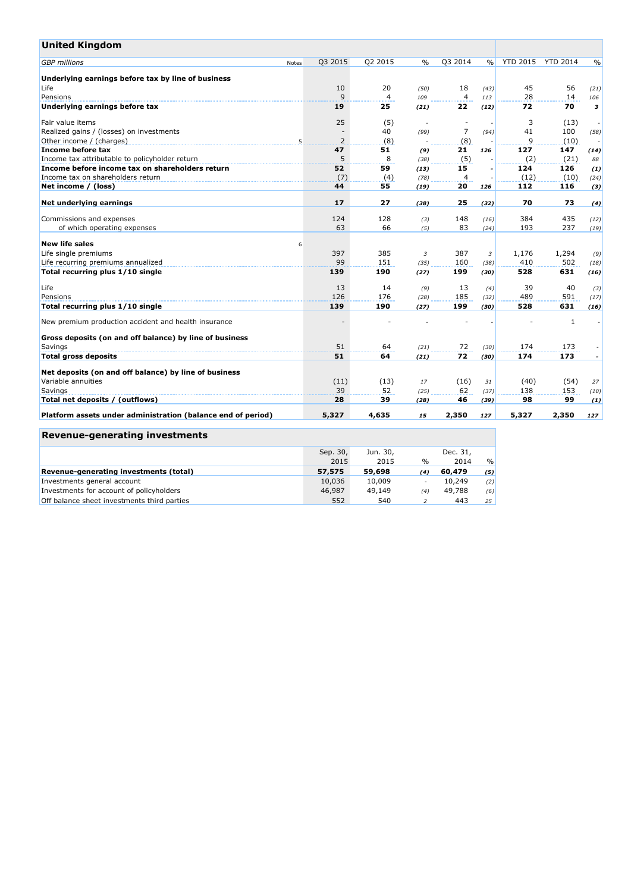| <b>United Kingdom</b>                                        |       |         |         |               |                |                |                 |                 |               |
|--------------------------------------------------------------|-------|---------|---------|---------------|----------------|----------------|-----------------|-----------------|---------------|
| <b>GBP</b> millions                                          | Notes | Q3 2015 | Q2 2015 | $\frac{0}{0}$ | Q3 2014        | $\frac{0}{0}$  | <b>YTD 2015</b> | <b>YTD 2014</b> | $\frac{0}{0}$ |
| Underlying earnings before tax by line of business           |       |         |         |               |                |                |                 |                 |               |
| Life                                                         |       | 10      | 20      | (50)          | 18             | (43)           | 45              | 56              | (21)          |
| Pensions                                                     |       | 9       | 4       | 109           | 4              | 113            | 28              | 14              | 106           |
| Underlying earnings before tax                               |       | 19      | 25      | (21)          | 22             | (12)           | 72              | 70              | 3             |
| Fair value items                                             |       | 25      | (5)     |               |                |                | 3               | (13)            |               |
| Realized gains / (losses) on investments                     |       |         | 40      | (99)          | $\overline{7}$ | (94)           | 41              | 100             | (58)          |
| Other income / (charges)                                     | 5     | 2       | (8)     |               | (8)            |                | 9               | (10)            |               |
| Income before tax                                            |       | 47      | 51      | (9)           | 21             | 126            | 127             | 147             | (14)          |
| Income tax attributable to policyholder return               |       | 5       | 8       | (38)          | (5)            |                | (2)             | (21)            | 88            |
| Income before income tax on shareholders return              |       | 52      | 59      | (13)          | 15             |                | 124             | 126             | (1)           |
| Income tax on shareholders return                            |       | (7)     | (4)     | (78)          | $\overline{4}$ |                | (12)            | (10)            | (24)          |
| Net income / (loss)                                          |       | 44      | 55      | (19)          | 20             | 126            | 112             | 116             | (3)           |
|                                                              |       |         |         |               |                |                |                 |                 |               |
| Net underlying earnings                                      |       | 17      | 27      | (38)          | 25             | (32)           | 70              | 73              | (4)           |
| Commissions and expenses                                     |       | 124     | 128     | (3)           | 148            | (16)           | 384             | 435             | (12)          |
| of which operating expenses                                  |       | 63      | 66      | (5)           | 83             | (24)           | 193             | 237             | (19)          |
| <b>New life sales</b>                                        | 6     |         |         |               |                |                |                 |                 |               |
| Life single premiums                                         |       | 397     | 385     | 3             | 387            | $\overline{3}$ | 1,176           | 1,294           | (9)           |
| Life recurring premiums annualized                           |       | 99      | 151     | (35)          | 160            | (38)           | 410             | 502             | (18)          |
| Total recurring plus 1/10 single                             |       | 139     | 190     | (27)          | 199            | (30)           | 528             | 631             | (16)          |
| Life                                                         |       | 13      | 14      | (9)           | 13             | (4)            | 39              | 40              | (3)           |
| Pensions                                                     |       | 126     | 176     | (28)          | 185            | (32)           | 489             | 591             | (17)          |
| Total recurring plus 1/10 single                             |       | 139     | 190     | (27)          | 199            | (30)           | 528             | 631             | (16)          |
| New premium production accident and health insurance         |       |         |         |               |                |                |                 | 1               |               |
| Gross deposits (on and off balance) by line of business      |       |         |         |               |                |                |                 |                 |               |
| Savings                                                      |       | 51      | 64      | (21)          | 72             | (30)           | 174             | 173             |               |
| <b>Total gross deposits</b>                                  |       | 51      | 64      | (21)          | 72             | (30)           | 174             | 173             |               |
| Net deposits (on and off balance) by line of business        |       |         |         |               |                |                |                 |                 |               |
| Variable annuities                                           |       | (11)    | (13)    | 17            | (16)           | 31             | (40)            | (54)            | 27            |
| Savings                                                      |       | 39      | 52      | (25)          | 62             | (37)           | 138             | 153             | (10)          |
| Total net deposits / (outflows)                              |       | 28      | 39      | (28)          | 46             | (39)           | 98              | 99              | (1)           |
| Platform assets under administration (balance end of period) |       | 5,327   | 4,635   | 15            | 2,350          | 127            | 5,327           | 2,350           | 127           |

# **Revenue-generating investments**

|                                             | Sep. 30, | Jun. 30, |        | Dec. 31, |               |
|---------------------------------------------|----------|----------|--------|----------|---------------|
|                                             | 2015     | 2015     | $\%$   | 2014     | $\frac{0}{0}$ |
| Revenue-generating investments (total)      | 57,575   | 59,698   | (4)    | 60,479   | (5)           |
| Investments general account                 | 10,036   | 10,009   | $\sim$ | 10,249   | (2)           |
| Investments for account of policyholders    | 46,987   | 49,149   | (4)    | 49,788   | (6)           |
| Off balance sheet investments third parties | 552      | 540      |        | 443      | 25            |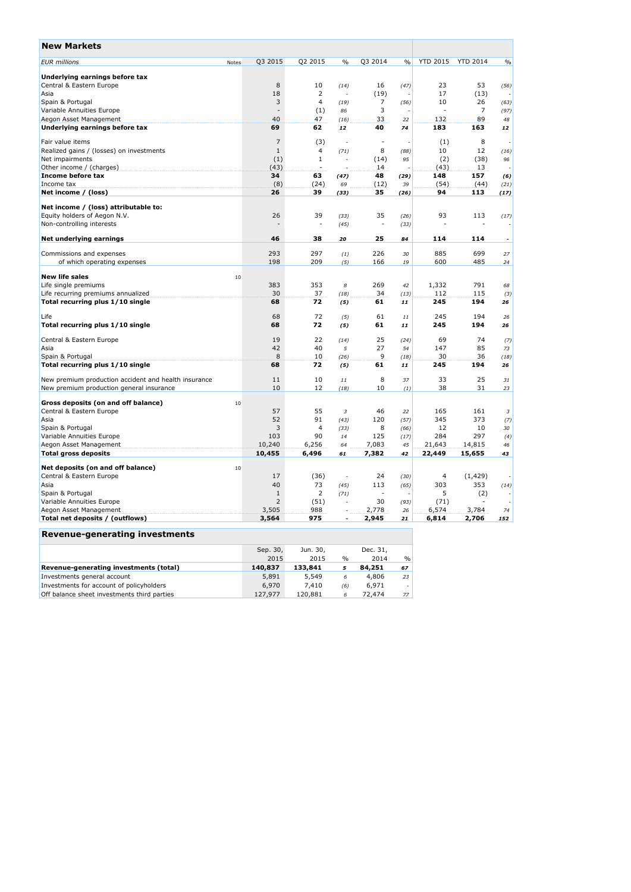| <b>New Markets</b>                                   |                |                          |               |                          |      |                 |                 |                          |
|------------------------------------------------------|----------------|--------------------------|---------------|--------------------------|------|-----------------|-----------------|--------------------------|
| <b>EUR</b> millions<br>Notes                         | Q3 2015        | Q2 2015                  | $\%$          | Q3 2014                  | $\%$ | <b>YTD 2015</b> | <b>YTD 2014</b> | $\%$                     |
| Underlying earnings before tax                       |                |                          |               |                          |      |                 |                 |                          |
| Central & Eastern Europe                             | 8              | 10                       | (14)          | 16                       | (47) | 23              | 53              | (56)                     |
| Asia                                                 | 18             | 2                        |               | (19)                     |      | 17              | (13)            |                          |
| Spain & Portugal                                     | 3              | $\overline{4}$           | (19)          | 7                        | (56) | 10              | 26              | (63)                     |
| Variable Annuities Europe                            | $\sim$         | (1)                      | 86            | 3                        |      | ÷               | 7               | (97)                     |
| Aegon Asset Management                               | 40             | 47                       | (16)          | 33                       | 22   | 132             | 89              | 48                       |
| Underlying earnings before tax                       | 69             | 62                       | 12            | 40                       | 74   | 183             | 163             | 12                       |
| Fair value items                                     | $\overline{7}$ | (3)                      |               | ÷,                       |      | (1)             | 8               | $\overline{\phantom{a}}$ |
| Realized gains / (losses) on investments             | $\mathbf{1}$   | 4                        | (71)          | 8                        | (88) | 10              | 12              | (16)                     |
| Net impairments                                      | (1)            | $\mathbf{1}$             |               | (14)                     | 95   | (2)             | (38)            | 96                       |
| Other income / (charges)                             | (43)           |                          |               | 14                       |      | (43)            | 13              | $\overline{\phantom{a}}$ |
| Income before tax                                    | 34             | 63                       | (47)          | 48                       | (29) | 148             | 157             | (6)                      |
| Income tax                                           | (8)            | (24)                     | 69            | (12)                     | 39   | (54)            | (44)            | (21)                     |
| Net income / (loss)                                  | 26             | 39                       | (33)          | 35                       | (26) | 94              | 113             | (17)                     |
| Net income / (loss) attributable to:                 |                |                          |               |                          |      |                 |                 |                          |
| Equity holders of Aegon N.V.                         | 26             | 39                       | (33)          | 35                       | (26) | 93              | 113             | (17)                     |
| Non-controlling interests                            |                | $\overline{\phantom{a}}$ | (45)          | $\overline{\phantom{a}}$ | (33) |                 |                 |                          |
| Net underlying earnings                              | 46             | 38                       | 20            | 25                       | 84   | 114             | 114             |                          |
| Commissions and expenses                             | 293            | 297                      | (1)           | 226                      | 30   | 885             | 699             | 27                       |
| of which operating expenses                          | 198            | 209                      | (5)           | 166                      | 19   | 600             | 485             | 24                       |
|                                                      |                |                          |               |                          |      |                 |                 |                          |
| <b>New life sales</b><br>10                          |                |                          |               |                          |      |                 |                 |                          |
| Life single premiums                                 | 383            | 353                      | 8             | 269                      | 42   | 1,332           | 791             | 68                       |
| Life recurring premiums annualized                   | 30             | 37                       | (18)          | 34                       | (13) | 112             | 115             | (3)                      |
| Total recurring plus 1/10 single                     | 68             | 72                       | (5)           | 61                       | 11   | 245             | 194             | 26                       |
| Life                                                 | 68             | 72                       | (5)           | 61                       | 11   | 245             | 194             | 26                       |
| Total recurring plus 1/10 single                     | 68             | 72                       | (5)           | 61                       | 11   | 245             | 194             | 26                       |
| Central & Eastern Europe                             | 19             | 22                       | (14)          | 25                       | (24) | 69              | 74              | (7)                      |
| Asia                                                 | 42             | 40                       | 5             | 27                       | 54   | 147             | 85              | 73                       |
| Spain & Portugal                                     | 8              | 10                       | (26)          | 9                        | (18) | 30              | 36              | (18)                     |
| Total recurring plus 1/10 single                     | 68             | 72                       | (5)           | 61                       | 11   | 245             | 194             | 26                       |
| New premium production accident and health insurance | 11             | 10                       | 11            | 8                        | 37   | 33              | 25              | 31                       |
| New premium production general insurance             | 10             | 12                       | (18)          | 10                       | (1)  | 38              | 31              | 23                       |
| Gross deposits (on and off balance)<br>10            |                |                          |               |                          |      |                 |                 |                          |
| Central & Eastern Europe                             | 57             | 55                       | 3             | 46                       | 22   | 165             | 161             | 3                        |
| Asia                                                 | 52             | 91                       | (43)          | 120                      | (57) | 345             | 373             | (7)                      |
| Spain & Portugal                                     | 3              | 4                        | (33)          | 8                        | (66) | 12              | 10              | 30                       |
| Variable Annuities Europe                            | 103            | 90                       | 14            | 125                      | (17) | 284             | 297             | (4)                      |
| Aegon Asset Management                               | 10,240         | 6,256                    | 64            | 7,083                    | 45   | 21,643          | 14,815          | 46                       |
| <b>Total gross deposits</b>                          | 10,455         | 6,496                    | 61            | 7,382                    | 42   | 22,449          | 15,655          | 43                       |
| Net deposits (on and off balance)<br>10              |                |                          |               |                          |      |                 |                 |                          |
| Central & Eastern Europe                             | 17             | (36)                     | $\frac{1}{2}$ | 24                       | (30) | 4               | (1, 429)        |                          |
| Asia                                                 | 40             | 73                       | (45)          | 113                      | (65) | 303             | 353             | (14)                     |
| Spain & Portugal                                     | $\mathbf{1}$   | 2                        | (71)          | ÷.                       |      | 5               | (2)             |                          |
| Variable Annuities Europe                            | 2              | (51)                     |               | 30                       | (93) | (71)            |                 |                          |
| Aegon Asset Management                               | 3,505          | 988                      |               | 2,778                    | 26   | 6,574           | 3,784           | 74                       |
| Total net deposits / (outflows)                      | 3,564          | 975                      | ä,            | 2,945                    | 21   | 6,814           | 2,706           | 152                      |
| Revenue-generating investments                       |                |                          |               |                          |      |                 |                 |                          |

|                                             | Sep. 30, | Jun. 30, |               | Dec. 31. |    |
|---------------------------------------------|----------|----------|---------------|----------|----|
|                                             | 2015     | 2015     | $\frac{0}{0}$ | 2014     | %  |
| Revenue-generating investments (total)      | 140,837  | 133,841  |               | 84,251   | 67 |
| Investments general account                 | 5,891    | 5,549    | 6             | 4,806    | 23 |
| Investments for account of policyholders    | 6.970    | 7.410    | (6)           | 6.971    |    |
| Off balance sheet investments third parties | 127.977  | 120.881  | 6             | 72,474   | 77 |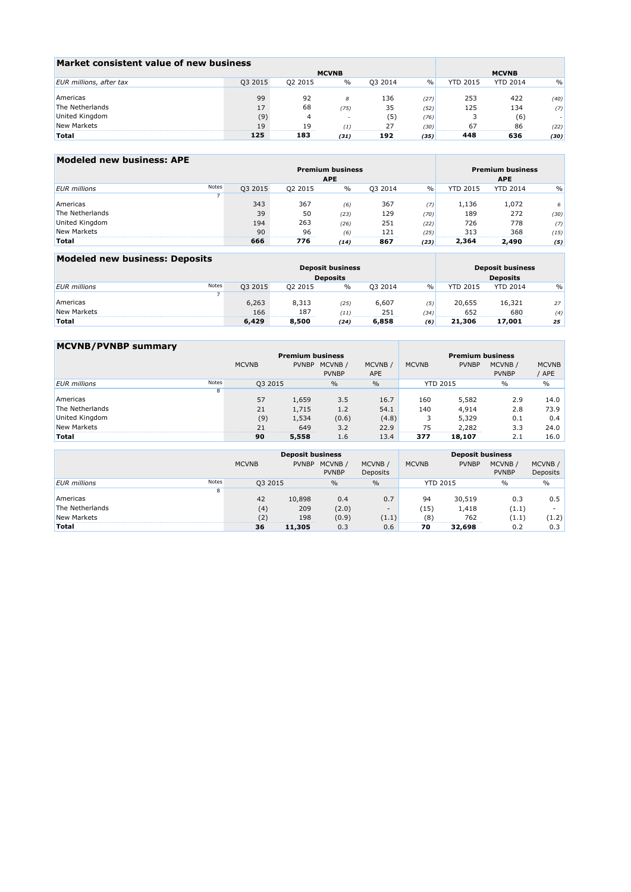| Market consistent value of new business |              |         |      |         |      |                 |                 |      |
|-----------------------------------------|--------------|---------|------|---------|------|-----------------|-----------------|------|
|                                         | <b>MCVNB</b> |         |      |         |      |                 |                 |      |
| EUR millions, after tax                 | Q3 2015      | 02 2015 | $\%$ | 03 2014 | $\%$ | <b>YTD 2015</b> | <b>YTD 2014</b> | $\%$ |
|                                         |              |         |      |         |      |                 |                 |      |
| Americas                                | 99           | 92      | 8    | 136     | (27) | 253             | 422             | (40) |
| The Netherlands                         | 17           | 68      | (75) | 35      | (52) | 125             | 134             | (7)  |
| United Kingdom                          | (9)          |         |      | (5)     | (76) |                 | (6)             |      |
| New Markets                             | 19           | 19      |      |         | (30) | 67              | 86              | (22) |
| Total                                   | 125          | 183     | (31) | 192     | (35) | 448             | 636             | (30) |

| Modeled new business: APE |       |         |                                       |      |                         |      |                 |                 |               |
|---------------------------|-------|---------|---------------------------------------|------|-------------------------|------|-----------------|-----------------|---------------|
|                           |       |         | <b>Premium business</b><br><b>APE</b> |      | <b>Premium business</b> |      |                 |                 |               |
|                           |       |         | <b>APE</b>                            |      |                         |      |                 |                 |               |
| <b>EUR</b> millions       | Notes | Q3 2015 | Q2 2015                               | $\%$ | Q3 2014                 | $\%$ | <b>YTD 2015</b> | <b>YTD 2014</b> | $\frac{0}{0}$ |
|                           |       |         |                                       |      |                         |      |                 |                 |               |
| Americas                  |       | 343     | 367                                   | (6)  | 367                     | (7)  | 1,136           | 1,072           | 6             |
| The Netherlands           |       | 39      | 50                                    | (23) | 129                     | (70) | 189             | 272             | (30)          |
| United Kingdom            |       | 194     | 263                                   | (26) | 251                     | (22) | 726             | 778             | (7)           |
| New Markets               |       | 90      | 96                                    | (6)  | 121                     | (25) | 313             | 368             | (15)          |
| <b>Total</b>              |       | 666     | 776                                   | (14) | 867                     | (23) | 2,364           | 2,490           | (5)           |

| Modeled new business: Deposits |       |         |                 |                         |         |      |                         |                 |               |  |
|--------------------------------|-------|---------|-----------------|-------------------------|---------|------|-------------------------|-----------------|---------------|--|
|                                |       |         |                 | <b>Deposit business</b> |         |      | <b>Deposit business</b> |                 |               |  |
|                                |       |         | <b>Deposits</b> | <b>Deposits</b>         |         |      |                         |                 |               |  |
| <b>EUR</b> millions            | Notes | 03 2015 | 02 2015         | $\%$                    | 03 2014 | $\%$ | <b>YTD 2015</b>         | <b>YTD 2014</b> | $\frac{0}{0}$ |  |
|                                |       |         |                 |                         |         |      |                         |                 |               |  |
| Americas                       |       | 6,263   | 8,313           | (25)                    | 6,607   | (5)  | 20,655                  | 16,321          | 27            |  |
| New Markets                    |       | 166     | 187             | (11)                    | 251     | (34) | 652                     | 680             | (4)           |  |
| <b>Total</b>                   |       | 6,429   | 8,500           | (24)                    | 6,858   | (6)  | 21,306                  | 17.001          | 25            |  |

| <b>MCVNB/PVNBP summary</b> |       |              |              |                         |                         |                 |              |                         |                       |  |
|----------------------------|-------|--------------|--------------|-------------------------|-------------------------|-----------------|--------------|-------------------------|-----------------------|--|
|                            |       |              |              | <b>Premium business</b> | <b>Premium business</b> |                 |              |                         |                       |  |
|                            |       | <b>MCVNB</b> | <b>PVNBP</b> | MCVNB/<br><b>PVNBP</b>  | MCVNB /<br><b>APE</b>   | <b>MCVNB</b>    | <b>PVNBP</b> | MCVNB /<br><b>PVNBP</b> | <b>MCVNB</b><br>' APE |  |
| <b>EUR</b> millions        | Notes | Q3 2015      |              | $\%$                    | $\frac{0}{0}$           | <b>YTD 2015</b> |              | $\%$                    | $\%$                  |  |
|                            | 8     |              |              |                         |                         |                 |              |                         |                       |  |
| Americas                   |       | 57           | 1,659        | 3.5                     | 16.7                    | 160             | 5,582        | 2.9                     | 14.0                  |  |
| The Netherlands            |       | 21           | 1,715        | 1.2                     | 54.1                    | 140             | 4,914        | 2.8                     | 73.9                  |  |
| United Kingdom             |       | (9)          | 1,534        | (0.6)                   | (4.8)                   |                 | 5,329        | 0.1                     | 0.4                   |  |
| New Markets                |       | 21           | 649          | 3.2                     | 22.9                    | 75              | 2,282        | 3.3                     | 24.0                  |  |
| Total                      |       | 90           | 5,558        | 1.6                     | 13.4                    | 377             | 18,107       | 2.1                     | 16.0                  |  |

|                     |       |              | <b>Deposit business</b> |                        |                          | <b>Deposit business</b> |                 |                         |                          |  |
|---------------------|-------|--------------|-------------------------|------------------------|--------------------------|-------------------------|-----------------|-------------------------|--------------------------|--|
|                     |       | <b>MCVNB</b> | <b>PVNBP</b>            | MCVNB/<br><b>PVNBP</b> | MCVNB /<br>Deposits      | <b>MCVNB</b>            | <b>PVNBP</b>    | MCVNB /<br><b>PVNBP</b> | MCVNB /<br>Deposits      |  |
| <b>EUR</b> millions | Notes | Q3 2015      |                         | $\frac{0}{0}$          | $\frac{0}{0}$            |                         | <b>YTD 2015</b> | $\%$                    | $\%$                     |  |
|                     | 8     |              |                         |                        |                          |                         |                 |                         |                          |  |
| Americas            |       | 42           | 10,898                  | 0.4                    | 0.7                      | 94                      | 30,519          | 0.3                     | $0.5^{\circ}$            |  |
| The Netherlands     |       | (4)          | 209                     | (2.0)                  | $\overline{\phantom{a}}$ | 15                      | 1,418           | (1.1)                   | $\overline{\phantom{a}}$ |  |
| New Markets         |       | (2)          | 198                     | (0.9)                  | (1.1)                    | (8)                     | 762             | (1.1)                   | (1.2)                    |  |
| <b>Total</b>        |       | 36           | 11,305                  | 0.3                    | 0.6                      | 70                      | 32,698          | 0.2                     | 0.3                      |  |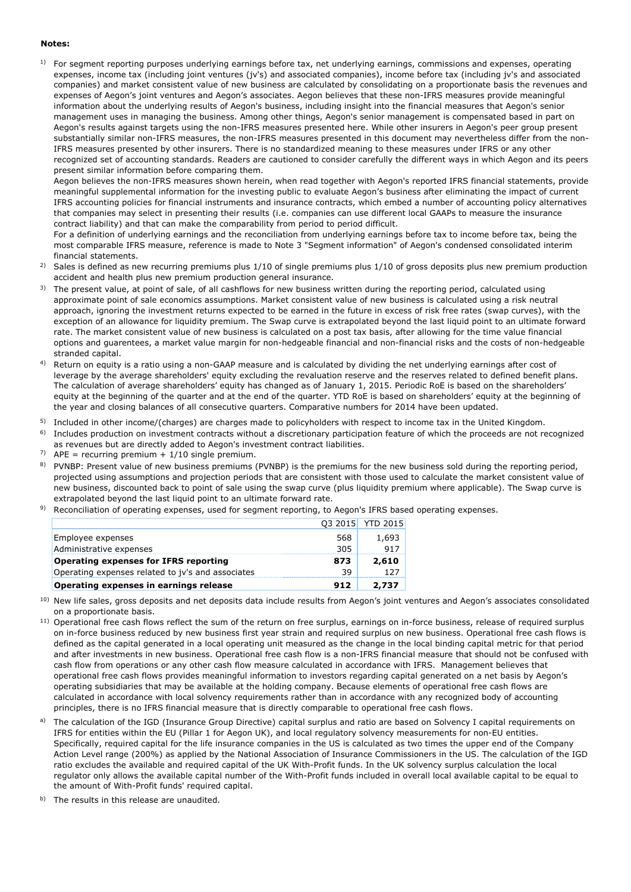### **Notes:**

 $1$  For segment reporting purposes underlying earnings before tax, net underlying earnings, commissions and expenses, operating expenses, income tax (including joint ventures (jv's) and associated companies), income before tax (including jv's and associated companies) and market consistent value of new business are calculated by consolidating on a proportionate basis the revenues and expenses of Aegon's joint ventures and Aegon's associates. Aegon believes that these non-IFRS measures provide meaningful information about the underlying results of Aegon's business, including insight into the financial measures that Aegon's senior management uses in managing the business. Among other things, Aegon's senior management is compensated based in part on Aegon's results against targets using the non-IFRS measures presented here. While other insurers in Aegon's peer group present substantially similar non-IFRS measures, the non-IFRS measures presented in this document may nevertheless differ from the non-IFRS measures presented by other insurers. There is no standardized meaning to these measures under IFRS or any other recognized set of accounting standards. Readers are cautioned to consider carefully the different ways in which Aegon and its peers present similar information before comparing them.

Aegon believes the non-IFRS measures shown herein, when read together with Aegon's reported IFRS financial statements, provide meaningful supplemental information for the investing public to evaluate Aegon's business after eliminating the impact of current IFRS accounting policies for financial instruments and insurance contracts, which embed a number of accounting policy alternatives that companies may select in presenting their results (i.e. companies can use different local GAAPs to measure the insurance contract liability) and that can make the comparability from period to period difficult.

For a definition of underlying earnings and the reconciliation from underlying earnings before tax to income before tax, being the most comparable IFRS measure, reference is made to Note 3 "Segment information" of Aegon's condensed consolidated interim financial statements.

- 2) Sales is defined as new recurring premiums plus 1/10 of single premiums plus 1/10 of gross deposits plus new premium production accident and health plus new premium production general insurance.
- <sup>3)</sup> The present value, at point of sale, of all cashflows for new business written during the reporting period, calculated using approximate point of sale economics assumptions. Market consistent value of new business is calculated using a risk neutral approach, ignoring the investment returns expected to be earned in the future in excess of risk free rates (swap curves), with the exception of an allowance for liquidity premium. The Swap curve is extrapolated beyond the last liquid point to an ultimate forward rate. The market consistent value of new business is calculated on a post tax basis, after allowing for the time value financial options and guarentees, a market value margin for non-hedgeable financial and non-financial risks and the costs of non-hedgeable stranded capital.
- 4) Return on equity is a ratio using a non-GAAP measure and is calculated by dividing the net underlying earnings after cost of leverage by the average shareholders' equity excluding the revaluation reserve and the reserves related to defined benefit plans. The calculation of average shareholders' equity has changed as of January 1, 2015. Periodic RoE is based on the shareholders' equity at the beginning of the quarter and at the end of the quarter. YTD RoE is based on shareholders' equity at the beginning of the year and closing balances of all consecutive quarters. Comparative numbers for 2014 have been updated.
- <sup>5)</sup> Included in other income/(charges) are charges made to policyholders with respect to income tax in the United Kingdom.
- 6) Includes production on investment contracts without a discretionary participation feature of which the proceeds are not recognized as revenues but are directly added to Aegon's investment contract liabilities.
- <sup>7)</sup> APE = recurring premium +  $1/10$  single premium.
- <sup>8)</sup> PVNBP: Present value of new business premiums (PVNBP) is the premiums for the new business sold during the reporting period, projected using assumptions and projection periods that are consistent with those used to calculate the market consistent value of new business, discounted back to point of sale using the swap curve (plus liquidity premium where applicable). The Swap curve is extrapolated beyond the last liquid point to an ultimate forward rate.
- <sup>9)</sup> Reconciliation of operating expenses, used for segment reporting, to Aegon's IFRS based operating expenses.

| Operating expenses in earnings release            | 912 | 2.737            |
|---------------------------------------------------|-----|------------------|
| Operating expenses related to jv's and associates | 39  |                  |
| <b>Operating expenses for IFRS reporting</b>      | 873 | 2,610            |
| Administrative expenses                           | 305 | 917              |
| Employee expenses                                 | 568 | 1,693            |
|                                                   |     | 03 2015 YTD 2015 |
|                                                   |     |                  |

- <sup>10)</sup> New life sales, gross deposits and net deposits data include results from Aegon's joint ventures and Aegon's associates consolidated on a proportionate basis.
- <sup>11)</sup> Operational free cash flows reflect the sum of the return on free surplus, earnings on in-force business, release of required surplus on in-force business reduced by new business first year strain and required surplus on new business. Operational free cash flows is defined as the capital generated in a local operating unit measured as the change in the local binding capital metric for that period and after investments in new business. Operational free cash flow is a non-IFRS financial measure that should not be confused with cash flow from operations or any other cash flow measure calculated in accordance with IFRS. Management believes that operational free cash flows provides meaningful information to investors regarding capital generated on a net basis by Aegon's operating subsidiaries that may be available at the holding company. Because elements of operational free cash flows are calculated in accordance with local solvency requirements rather than in accordance with any recognized body of accounting principles, there is no IFRS financial measure that is directly comparable to operational free cash flows.
- a) The calculation of the IGD (Insurance Group Directive) capital surplus and ratio are based on Solvency I capital requirements on IFRS for entities within the EU (Pillar 1 for Aegon UK), and local regulatory solvency measurements for non-EU entities. Specifically, required capital for the life insurance companies in the US is calculated as two times the upper end of the Company Action Level range (200%) as applied by the National Association of Insurance Commissioners in the US. The calculation of the IGD ratio excludes the available and required capital of the UK With-Profit funds. In the UK solvency surplus calculation the local regulator only allows the available capital number of the With-Profit funds included in overall local available capital to be equal to the amount of With-Profit funds' required capital.
- The results in this release are unaudited.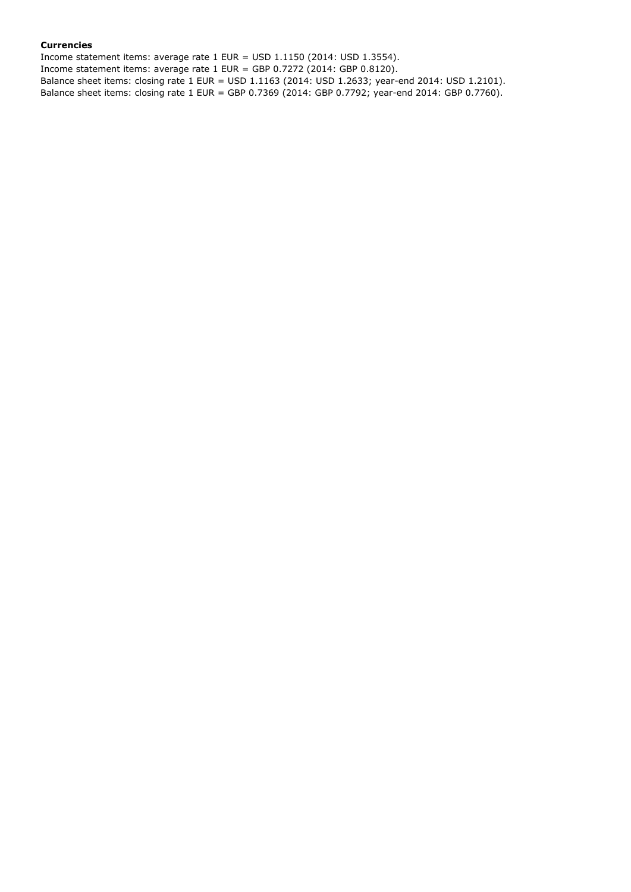### **Currencies**

Income statement items: average rate 1 EUR = USD 1.1150 (2014: USD 1.3554). Income statement items: average rate 1 EUR = GBP 0.7272 (2014: GBP 0.8120). Balance sheet items: closing rate 1 EUR = USD 1.1163 (2014: USD 1.2633; year-end 2014: USD 1.2101). Balance sheet items: closing rate 1 EUR = GBP 0.7369 (2014: GBP 0.7792; year-end 2014: GBP 0.7760).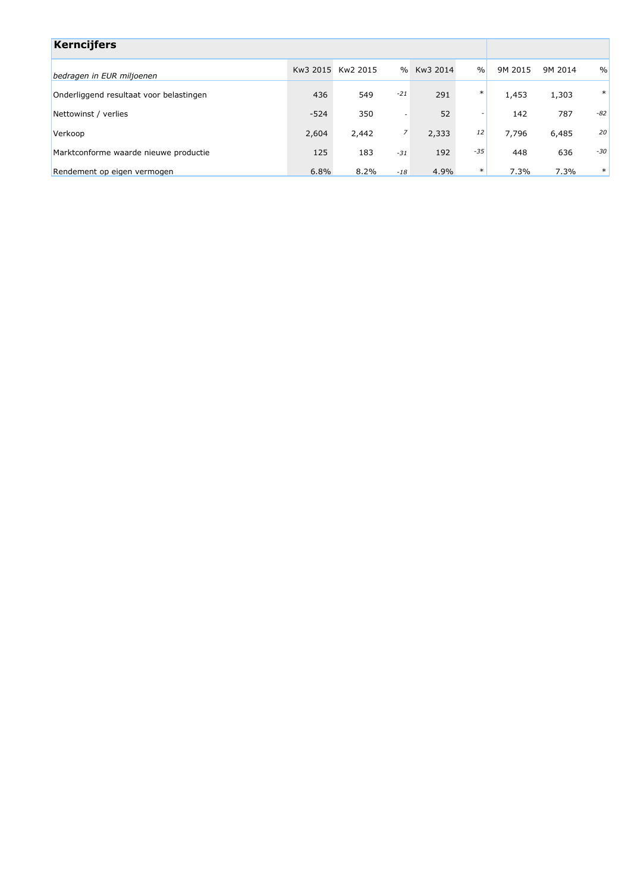| <b>Kerncijfers</b>                      |        |                   |               |          |               |         |         |        |
|-----------------------------------------|--------|-------------------|---------------|----------|---------------|---------|---------|--------|
| bedragen in EUR miljoenen               |        | Kw3 2015 Kw2 2015 | $\frac{0}{0}$ | Kw3 2014 | $\frac{0}{0}$ | 9M 2015 | 9M 2014 | $\%$   |
| Onderliggend resultaat voor belastingen | 436    | 549               | $-21$         | 291      | $\ast$        | 1,453   | 1,303   | $\ast$ |
| Nettowinst / verlies                    | $-524$ | 350               | ٠             | 52       |               | 142     | 787     | -82    |
| Verkoop                                 | 2,604  | 2,442             | 7             | 2,333    | 12            | 7,796   | 6,485   | 20     |
| Marktconforme waarde nieuwe productie   | 125    | 183               | $-31$         | 192      | $-35$         | 448     | 636     | -30    |
| Rendement op eigen vermogen             | 6.8%   | 8.2%              | $-18$         | 4.9%     | $\ast$        | 7.3%    | 7.3%    | $\ast$ |